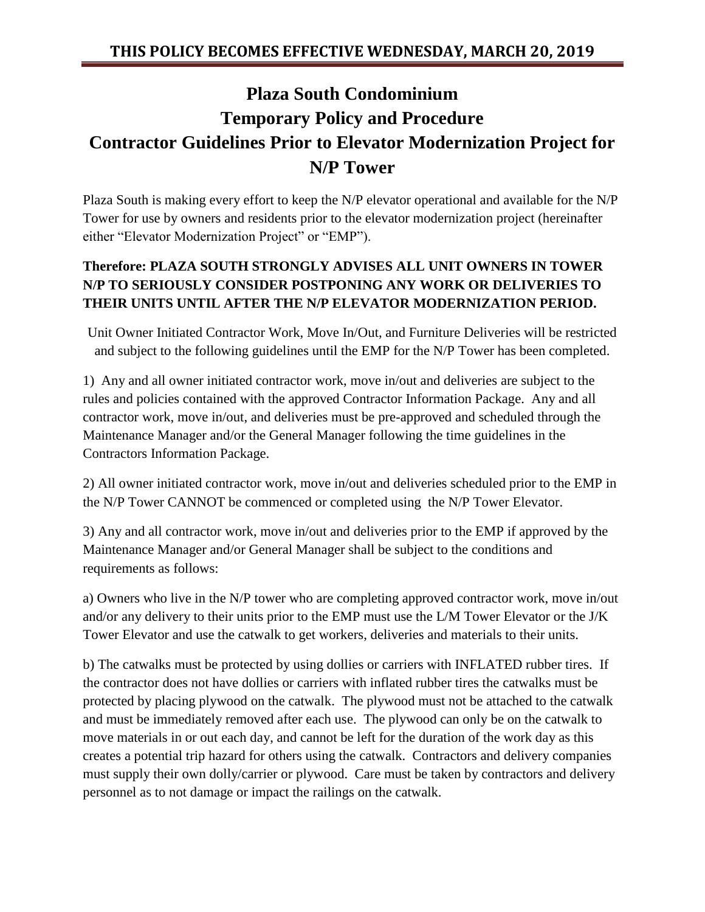## **Plaza South Condominium Temporary Policy and Procedure Contractor Guidelines Prior to Elevator Modernization Project for N/P Tower**

Plaza South is making every effort to keep the N/P elevator operational and available for the N/P Tower for use by owners and residents prior to the elevator modernization project (hereinafter either "Elevator Modernization Project" or "EMP").

## **Therefore: PLAZA SOUTH STRONGLY ADVISES ALL UNIT OWNERS IN TOWER N/P TO SERIOUSLY CONSIDER POSTPONING ANY WORK OR DELIVERIES TO THEIR UNITS UNTIL AFTER THE N/P ELEVATOR MODERNIZATION PERIOD.**

Unit Owner Initiated Contractor Work, Move In/Out, and Furniture Deliveries will be restricted and subject to the following guidelines until the EMP for the N/P Tower has been completed.

1) Any and all owner initiated contractor work, move in/out and deliveries are subject to the rules and policies contained with the approved Contractor Information Package. Any and all contractor work, move in/out, and deliveries must be pre-approved and scheduled through the Maintenance Manager and/or the General Manager following the time guidelines in the Contractors Information Package.

2) All owner initiated contractor work, move in/out and deliveries scheduled prior to the EMP in the N/P Tower CANNOT be commenced or completed using the N/P Tower Elevator.

3) Any and all contractor work, move in/out and deliveries prior to the EMP if approved by the Maintenance Manager and/or General Manager shall be subject to the conditions and requirements as follows:

a) Owners who live in the N/P tower who are completing approved contractor work, move in/out and/or any delivery to their units prior to the EMP must use the L/M Tower Elevator or the J/K Tower Elevator and use the catwalk to get workers, deliveries and materials to their units.

b) The catwalks must be protected by using dollies or carriers with INFLATED rubber tires. If the contractor does not have dollies or carriers with inflated rubber tires the catwalks must be protected by placing plywood on the catwalk. The plywood must not be attached to the catwalk and must be immediately removed after each use. The plywood can only be on the catwalk to move materials in or out each day, and cannot be left for the duration of the work day as this creates a potential trip hazard for others using the catwalk. Contractors and delivery companies must supply their own dolly/carrier or plywood. Care must be taken by contractors and delivery personnel as to not damage or impact the railings on the catwalk.